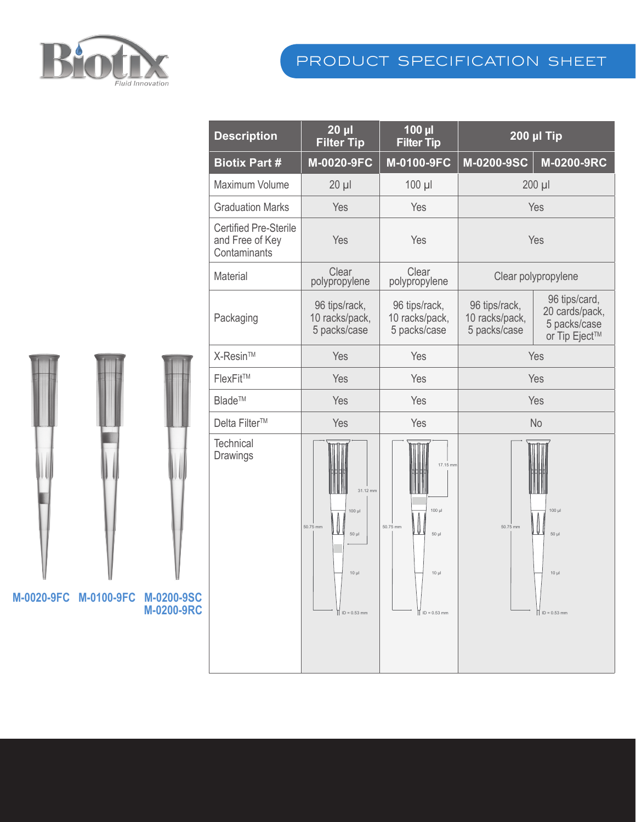

## product specification sheet

|  |                                  |                   | <b>Description</b>                                              | $20 \mu l$<br><b>Filter Tip</b>                                      | $100$ µl<br><b>Filter Tip</b>                                       | <b>200 µl Tip</b>                               |                                                                  |
|--|----------------------------------|-------------------|-----------------------------------------------------------------|----------------------------------------------------------------------|---------------------------------------------------------------------|-------------------------------------------------|------------------------------------------------------------------|
|  |                                  |                   | <b>Biotix Part #</b>                                            | M-0020-9FC                                                           | M-0100-9FC                                                          | M-0200-9SC                                      | M-0200-9RC                                                       |
|  |                                  |                   | Maximum Volume                                                  | $20 \mu$                                                             | $100$ $\mu$                                                         | 200 µl                                          |                                                                  |
|  |                                  |                   | <b>Graduation Marks</b>                                         | Yes                                                                  | Yes                                                                 | Yes                                             |                                                                  |
|  |                                  |                   | <b>Certified Pre-Sterile</b><br>and Free of Key<br>Contaminants | Yes                                                                  | Yes                                                                 | Yes                                             |                                                                  |
|  |                                  |                   | Material                                                        | Clear<br>polypropylene                                               | Clear<br>polypropylene                                              | Clear polypropylene                             |                                                                  |
|  |                                  |                   | Packaging                                                       | 96 tips/rack,<br>10 racks/pack,<br>5 packs/case                      | 96 tips/rack,<br>10 racks/pack,<br>5 packs/case                     | 96 tips/rack,<br>10 racks/pack,<br>5 packs/case | 96 tips/card,<br>20 cards/pack,<br>5 packs/case<br>or Tip Eject™ |
|  |                                  |                   | X-Resin™                                                        | Yes                                                                  | Yes                                                                 | Yes                                             |                                                                  |
|  |                                  |                   | FlexFit™                                                        | Yes                                                                  | Yes                                                                 | Yes                                             |                                                                  |
|  |                                  |                   | Blade™                                                          | Yes                                                                  | Yes                                                                 | Yes                                             |                                                                  |
|  |                                  |                   | Delta Filter™                                                   | Yes                                                                  | Yes                                                                 | No                                              |                                                                  |
|  |                                  |                   | Technical<br>Drawings                                           | WW<br>31.12 mm<br>$100 \mu$<br>50.75 mm<br>Ų<br>$50 \mu$<br>$10 \mu$ | 17.15 mm<br>Ш<br>$100 \mu$<br>50.75 mm<br>Ų<br>$50 \mu$<br>$10 \mu$ | $100 \mu$<br>50.75 mm<br>$50 \mu$<br>$10 \mu$   |                                                                  |
|  | M-0020-9FC M-0100-9FC M-0200-9SC | <b>M-0200-9RC</b> |                                                                 | $ $ ID = 0.53 mm                                                     | $\vert \vert$ ID = 0.53 mm                                          |                                                 | $  $ ID = 0.53 mm                                                |